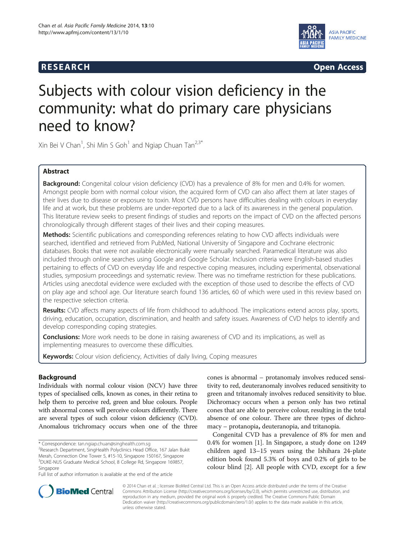## **RESEARCH CHINESEARCH CHINESEARCH CHINESE**



# Subjects with colour vision deficiency in the community: what do primary care physicians need to know?

Xin Bei V Chan<sup>1</sup>, Shi Min S Goh<sup>1</sup> and Ngiap Chuan Tan<sup>2,3\*</sup>

## Abstract

Background: Congenital colour vision deficiency (CVD) has a prevalence of 8% for men and 0.4% for women. Amongst people born with normal colour vision, the acquired form of CVD can also affect them at later stages of their lives due to disease or exposure to toxin. Most CVD persons have difficulties dealing with colours in everyday life and at work, but these problems are under-reported due to a lack of its awareness in the general population. This literature review seeks to present findings of studies and reports on the impact of CVD on the affected persons chronologically through different stages of their lives and their coping measures.

Methods: Scientific publications and corresponding references relating to how CVD affects individuals were searched, identified and retrieved from PubMed, National University of Singapore and Cochrane electronic databases. Books that were not available electronically were manually searched. Paramedical literature was also included through online searches using Google and Google Scholar. Inclusion criteria were English-based studies pertaining to effects of CVD on everyday life and respective coping measures, including experimental, observational studies, symposium proceedings and systematic review. There was no timeframe restriction for these publications. Articles using anecdotal evidence were excluded with the exception of those used to describe the effects of CVD on play age and school age. Our literature search found 136 articles, 60 of which were used in this review based on the respective selection criteria.

Results: CVD affects many aspects of life from childhood to adulthood. The implications extend across play, sports, driving, education, occupation, discrimination, and health and safety issues. Awareness of CVD helps to identify and develop corresponding coping strategies.

**Conclusions:** More work needs to be done in raising awareness of CVD and its implications, as well as implementing measures to overcome these difficulties.

Keywords: Colour vision deficiency, Activities of daily living, Coping measures

## Background

Individuals with normal colour vision (NCV) have three types of specialised cells, known as cones, in their retina to help them to perceive red, green and blue colours. People with abnormal cones will perceive colours differently. There are several types of such colour vision deficiency (CVD). Anomalous trichromacy occurs when one of the three

cones is abnormal – protanomaly involves reduced sensitivity to red, deuteranomaly involves reduced sensitivity to green and tritanomaly involves reduced sensitivity to blue. Dichromacy occurs when a person only has two retinal cones that are able to perceive colour, resulting in the total absence of one colour. There are three types of dichromacy – protanopia, deuteranopia, and tritanopia.

Congenital CVD has a prevalence of 8% for men and 0.4% for women [[1\]](#page-8-0). In Singapore, a study done on 1249 children aged 13–15 years using the Ishihara 24-plate edition book found 5.3% of boys and 0.2% of girls to be colour blind [\[2](#page-8-0)]. All people with CVD, except for a few



© 2014 Chan et al. ; licensee BioMed Central Ltd. This is an Open Access article distributed under the terms of the Creative Commons Attribution License [\(http://creativecommons.org/licenses/by/2.0\)](http://creativecommons.org/licenses/by/2.0), which permits unrestricted use, distribution, and reproduction in any medium, provided the original work is properly credited. The Creative Commons Public Domain Dedication waiver [\(http://creativecommons.org/publicdomain/zero/1.0/](http://creativecommons.org/publicdomain/zero/1.0/)) applies to the data made available in this article, unless otherwise stated.

<sup>\*</sup> Correspondence: [tan.ngiap.chuan@singhealth.com.sg](mailto:tan.ngiap.chuan@singhealth.com.sg) <sup>2</sup>

<sup>&</sup>lt;sup>2</sup>Research Department, SingHealth Polyclinics Head Office, 167 Jalan Bukit Merah, Connection One Tower 5, #15-10, Singapore 150167, Singapore 3 DUKE-NUS Graduate Medical School, 8 College Rd, Singapore 169857, Singapore

Full list of author information is available at the end of the article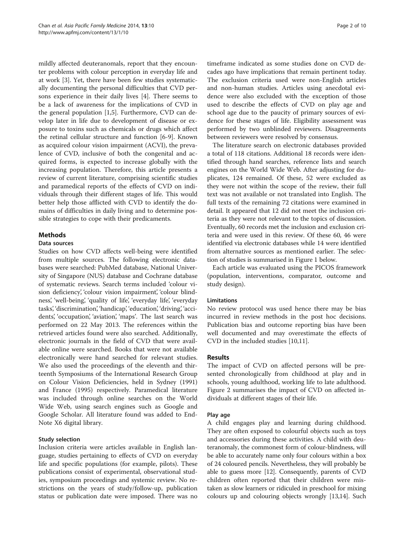mildly affected deuteranomals, report that they encounter problems with colour perception in everyday life and at work [[3](#page-8-0)]. Yet, there have been few studies systematically documenting the personal difficulties that CVD persons experience in their daily lives [[4\]](#page-8-0). There seems to be a lack of awareness for the implications of CVD in the general population [[1,5\]](#page-8-0). Furthermore, CVD can develop later in life due to development of disease or exposure to toxins such as chemicals or drugs which affect the retinal cellular structure and function [[6-9\]](#page-8-0). Known as acquired colour vision impairment (ACVI), the prevalence of CVD, inclusive of both the congenital and acquired forms, is expected to increase globally with the increasing population. Therefore, this article presents a review of current literature, comprising scientific studies and paramedical reports of the effects of CVD on individuals through their different stages of life. This would better help those afflicted with CVD to identify the domains of difficulties in daily living and to determine possible strategies to cope with their predicaments.

## Methods

#### Data sources

Studies on how CVD affects well-being were identified from multiple sources. The following electronic databases were searched: PubMed database, National University of Singapore (NUS) database and Cochrane database of systematic reviews. Search terms included 'colour vision deficiency, 'colour vision impairment', 'colour blindness', 'well-being', 'quality of life', 'everyday life', 'everyday tasks', 'discrimination', 'handicap', 'education', 'driving', 'accidents', 'occupation', 'aviation', 'maps'. The last search was performed on 22 May 2013. The references within the retrieved articles found were also searched. Additionally, electronic journals in the field of CVD that were available online were searched. Books that were not available electronically were hand searched for relevant studies. We also used the proceedings of the eleventh and thirteenth Symposiums of the International Research Group on Colour Vision Deficiencies, held in Sydney (1991) and France (1995) respectively. Paramedical literature was included through online searches on the World Wide Web, using search engines such as Google and Google Scholar. All literature found was added to End-Note X6 digital library.

## Study selection

Inclusion criteria were articles available in English language, studies pertaining to effects of CVD on everyday life and specific populations (for example, pilots). These publications consist of experimental, observational studies, symposium proceedings and systemic review. No restrictions on the years of study/follow-up, publication status or publication date were imposed. There was no

timeframe indicated as some studies done on CVD decades ago have implications that remain pertinent today. The exclusion criteria used were non-English articles and non-human studies. Articles using anecdotal evidence were also excluded with the exception of those used to describe the effects of CVD on play age and school age due to the paucity of primary sources of evidence for these stages of life. Eligibility assessment was performed by two unblinded reviewers. Disagreements between reviewers were resolved by consensus.

The literature search on electronic databases provided a total of 118 citations. Additional 18 records were identified through hand searches, reference lists and search engines on the World Wide Web. After adjusting for duplicates, 124 remained. Of these, 52 were excluded as they were not within the scope of the review, their full text was not available or not translated into English. The full texts of the remaining 72 citations were examined in detail. It appeared that 12 did not meet the inclusion criteria as they were not relevant to the topics of discussion. Eventually, 60 records met the inclusion and exclusion criteria and were used in this review. Of these 60, 46 were identified via electronic databases while 14 were identified from alternative sources as mentioned earlier. The selection of studies is summarised in Figure [1](#page-2-0) below.

Each article was evaluated using the PICOS framework (population, interventions, comparator, outcome and study design).

## Limitations

No review protocol was used hence there may be bias incurred in review methods in the post hoc decisions. Publication bias and outcome reporting bias have been well documented and may overestimate the effects of CVD in the included studies [[10](#page-8-0),[11](#page-8-0)].

## Results

The impact of CVD on affected persons will be presented chronologically from childhood at play and in schools, young adulthood, working life to late adulthood. Figure [2](#page-2-0) summarises the impact of CVD on affected individuals at different stages of their life.

## Play age

A child engages play and learning during childhood. They are often exposed to colourful objects such as toys and accessories during these activities. A child with deuteranomaly, the commonest form of colour-blindness, will be able to accurately name only four colours within a box of 24 coloured pencils. Nevertheless, they will probably be able to guess more [[12](#page-8-0)]. Consequently, parents of CVD children often reported that their children were mistaken as slow learners or ridiculed in preschool for mixing colours up and colouring objects wrongly [[13,14](#page-8-0)]. Such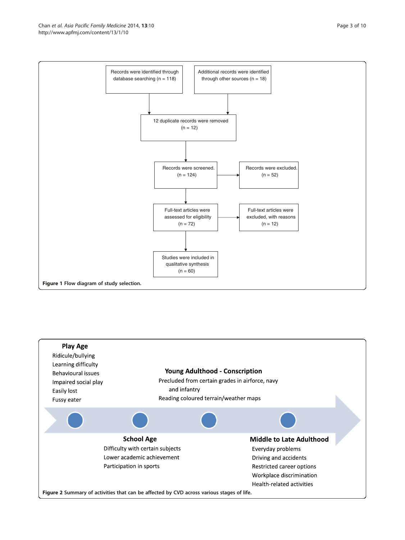<span id="page-2-0"></span>

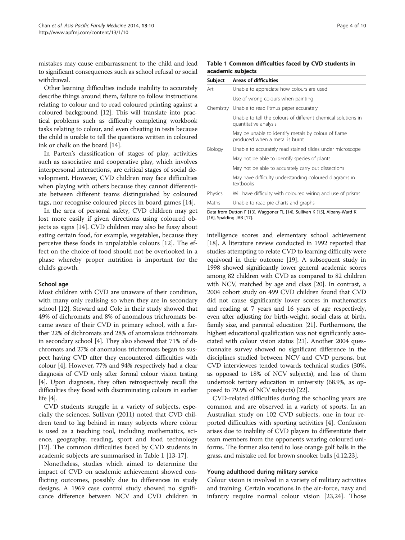mistakes may cause embarrassment to the child and lead to significant consequences such as school refusal or social withdrawal.

Other learning difficulties include inability to accurately describe things around them, failure to follow instructions relating to colour and to read coloured printing against a coloured background [\[12\]](#page-8-0). This will translate into practical problems such as difficulty completing workbook tasks relating to colour, and even cheating in tests because the child is unable to tell the questions written in coloured ink or chalk on the board [\[14\]](#page-8-0).

In Parten's classification of stages of play, activities such as associative and cooperative play, which involves interpersonal interactions, are critical stages of social development. However, CVD children may face difficulties when playing with others because they cannot differentiate between different teams distinguished by coloured tags, nor recognise coloured pieces in board games [\[14](#page-8-0)].

In the area of personal safety, CVD children may get lost more easily if given directions using coloured objects as signs [\[14](#page-8-0)]. CVD children may also be fussy about eating certain food, for example, vegetables, because they perceive these foods in unpalatable colours [[12](#page-8-0)]. The effect on the choice of food should not be overlooked in a phase whereby proper nutrition is important for the child's growth.

#### School age

Most children with CVD are unaware of their condition, with many only realising so when they are in secondary school [\[12\]](#page-8-0). Steward and Cole in their study showed that 49% of dichromats and 8% of anomalous trichromats became aware of their CVD in primary school, with a further 22% of dichromats and 28% of anomalous trichromats in secondary school [\[4](#page-8-0)]. They also showed that 71% of dichromats and 27% of anomalous trichromats began to suspect having CVD after they encountered difficulties with colour [\[4\]](#page-8-0). However, 77% and 94% respectively had a clear diagnosis of CVD only after formal colour vision testing [[4](#page-8-0)]. Upon diagnosis, they often retrospectively recall the difficulties they faced with discriminating colours in earlier life  $[4]$ .

CVD students struggle in a variety of subjects, especially the sciences. Sullivan (2011) noted that CVD children tend to lag behind in many subjects where colour is used as a teaching tool, including mathematics, science, geography, reading, sport and food technology [[12\]](#page-8-0). The common difficulties faced by CVD students in academic subjects are summarised in Table 1 [[13-17](#page-8-0)].

Nonetheless, studies which aimed to determine the impact of CVD on academic achievement showed conflicting outcomes, possibly due to differences in study designs. A 1969 case control study showed no significance difference between NCV and CVD children in

#### Table 1 Common difficulties faced by CVD students in academic subjects

| Subject   | Areas of difficulties                                                                  |
|-----------|----------------------------------------------------------------------------------------|
| Art       | Unable to appreciate how colours are used                                              |
|           | Use of wrong colours when painting                                                     |
| Chemistry | Unable to read litmus paper accurately                                                 |
|           | Unable to tell the colours of different chemical solutions in<br>quantitative analysis |
|           | May be unable to identify metals by colour of flame<br>produced when a metal is burnt  |
| Biology   | Unable to accurately read stained slides under microscope                              |
|           | May not be able to identify species of plants                                          |
|           | May not be able to accurately carry out dissections                                    |
|           | May have difficulty understanding coloured diagrams in<br>textbooks                    |
| Physics   | Will have difficulty with coloured wiring and use of prisms                            |
| Maths     | Unable to read pie charts and graphs                                                   |

Data from Dutton F [[13\]](#page-8-0), Waggoner TL [[14\]](#page-8-0), Sullivan K [[15\]](#page-8-0), Albany-Ward K [[16\]](#page-8-0), Spalding JAB [[17\]](#page-8-0).

intelligence scores and elementary school achievement [[18](#page-8-0)]. A literature review conducted in 1992 reported that studies attempting to relate CVD to learning difficulty were equivocal in their outcome [[19](#page-8-0)]. A subsequent study in 1998 showed significantly lower general academic scores among 82 children with CVD as compared to 82 children with NCV, matched by age and class [[20](#page-8-0)]. In contrast, a 2004 cohort study on 499 CVD children found that CVD did not cause significantly lower scores in mathematics and reading at 7 years and 16 years of age respectively, even after adjusting for birth-weight, social class at birth, family size, and parental education [[21](#page-8-0)]. Furthermore, the highest educational qualification was not significantly associated with colour vision status [[21](#page-8-0)]. Another 2004 questionnaire survey showed no significant difference in the disciplines studied between NCV and CVD persons, but CVD interviewees tended towards technical studies (30%, as opposed to 18% of NCV subjects), and less of them undertook tertiary education in university (68.9%, as opposed to 79.9% of NCV subjects) [[22](#page-8-0)].

CVD-related difficulties during the schooling years are common and are observed in a variety of sports. In an Australian study on 102 CVD subjects, one in four reported difficulties with sporting activities [\[4](#page-8-0)]. Confusion arises due to inability of CVD players to differentiate their team members from the opponents wearing coloured uniforms. The former also tend to lose orange golf balls in the grass, and mistake red for brown snooker balls [\[4,12,23](#page-8-0)].

#### Young adulthood during military service

Colour vision is involved in a variety of military activities and training. Certain vocations in the air-force, navy and infantry require normal colour vision [\[23,24\]](#page-8-0). Those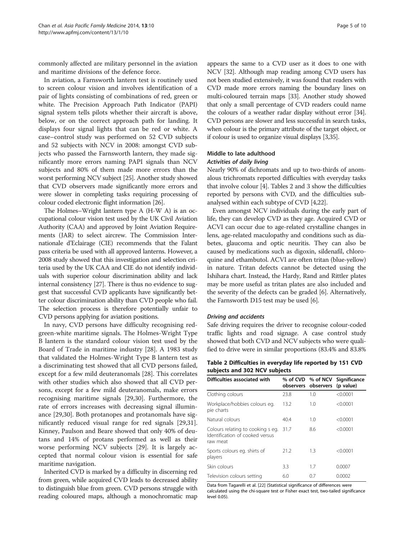commonly affected are military personnel in the aviation and maritime divisions of the defence force.

In aviation, a Farnsworth lantern test is routinely used to screen colour vision and involves identification of a pair of lights consisting of combinations of red, green or white. The Precision Approach Path Indicator (PAPI) signal system tells pilots whether their aircraft is above, below, or on the correct approach path for landing. It displays four signal lights that can be red or white. A case–control study was performed on 52 CVD subjects and 52 subjects with NCV in 2008: amongst CVD subjects who passed the Farnsworth lantern, they made significantly more errors naming PAPI signals than NCV subjects and 80% of them made more errors than the worst performing NCV subject [\[25\]](#page-8-0). Another study showed that CVD observers made significantly more errors and were slower in completing tasks requiring processing of colour coded electronic flight information [[26](#page-8-0)].

The Holmes–Wright lantern type A (H-W A) is an occupational colour vision test used by the UK Civil Aviation Authority (CAA) and approved by Joint Aviation Requirements (JAR) to select aircrew. The Commission Internationale d'Eclairage (CIE) recommends that the Falant pass criteria be used with all approved lanterns. However, a 2008 study showed that this investigation and selection criteria used by the UK CAA and CIE do not identify individuals with superior colour discrimination ability and lack internal consistency [[27](#page-8-0)]. There is thus no evidence to suggest that successful CVD applicants have significantly better colour discrimination ability than CVD people who fail. The selection process is therefore potentially unfair to CVD persons applying for aviation positions.

In navy, CVD persons have difficulty recognising redgreen-white maritime signals. The Holmes-Wright Type B lantern is the standard colour vision test used by the Board of Trade in maritime industry [\[28](#page-8-0)]. A 1983 study that validated the Holmes-Wright Type B lantern test as a discriminating test showed that all CVD persons failed, except for a few mild deuteranomals [\[28\]](#page-8-0). This correlates with other studies which also showed that all CVD persons, except for a few mild deuteranomals, make errors recognising maritime signals [\[29,30\]](#page-8-0). Furthermore, the rate of errors increases with decreasing signal illuminance [\[29,30](#page-8-0)]. Both protanopes and protanomals have significantly reduced visual range for red signals [\[29,31](#page-8-0)]. Kinney, Paulson and Beare showed that only 40% of deutans and 14% of protans performed as well as their worse performing NCV subjects [\[29\]](#page-8-0). It is largely accepted that normal colour vision is essential for safe maritime navigation.

Inherited CVD is marked by a difficulty in discerning red from green, while acquired CVD leads to decreased ability to distinguish blue from green. CVD persons struggle with reading coloured maps, although a monochromatic map

appears the same to a CVD user as it does to one with NCV [\[32\]](#page-8-0). Although map reading among CVD users has not been studied extensively, it was found that readers with CVD made more errors naming the boundary lines on multi-coloured terrain maps [\[33\]](#page-8-0). Another study showed that only a small percentage of CVD readers could name the colours of a weather radar display without error [\[34](#page-8-0)]. CVD persons are slower and less successful in search tasks, when colour is the primary attribute of the target object, or if colour is used to organize visual displays [[3,35](#page-8-0)].

## Middle to late adulthood Activities of daily living

Nearly 90% of dichromats and up to two-thirds of anomalous trichromats reported difficulties with everyday tasks that involve colour [[4](#page-8-0)]. Tables 2 and [3](#page-5-0) show the difficulties reported by persons with CVD, and the difficulties subanalysed within each subtype of CVD [\[4,22\]](#page-8-0).

Even amongst NCV individuals during the early part of life, they can develop CVD as they age. Acquired CVD or ACVI can occur due to age-related crystalline changes in lens, age-related maculopathy and conditions such as diabetes, glaucoma and optic neuritis. They can also be caused by medications such as digoxin, sildenafil, chloroquine and ethambutol. ACVI are often tritan (blue-yellow) in nature. Tritan defects cannot be detected using the Ishihara chart. Instead, the Hardy, Rand and Rittler plates may be more useful as tritan plates are also included and the severity of the defects can be graded [[6](#page-8-0)]. Alternatively, the Farnsworth D15 test may be used [[6](#page-8-0)].

### Driving and accidents

Safe driving requires the driver to recognise colour-coded traffic lights and road signage. A case control study showed that both CVD and NCV subjects who were qualified to drive were in similar proportions (83.4% and 83.8%

## Table 2 Difficulties in everyday life reported by 151 CVD subjects and 302 NCV subjects

| Difficulties associated with                                                     |      | observers observers (p value) | % of CVD % of NCV Significance |
|----------------------------------------------------------------------------------|------|-------------------------------|--------------------------------|
| Clothing colours                                                                 | 23.8 | 1.0                           | < 0.0001                       |
| Workplace/hobbies colours eg.<br>pie charts                                      | 13.2 | 1.0                           | < 0.0001                       |
| Natural colours                                                                  | 40.4 | 1.0                           | < 0.0001                       |
| Colours relating to cooking s eg.<br>Identification of cooked versus<br>raw meat | 31.7 | 8.6                           | < 0.0001                       |
| Sports colours eg. shirts of<br>players                                          | 21.2 | 1.3                           | < 0.0001                       |
| Skin colours                                                                     | 3.3  | 1.7                           | 0.0007                         |
| Television colours setting                                                       | 6.0  | 0.7                           | 0.0002                         |

Data from Tagarelli et al. [\[22\]](#page-8-0) (Statistical significance of differences were calculated using the chi-square test or Fisher exact test, two-tailed significance level 0.05).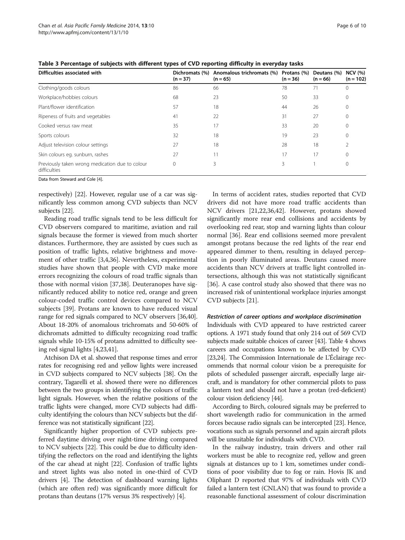| Difficulties associated with                                    | Dichromats (%)<br>$(n = 37)$ | Anomalous trichromats (%) Protans (%)<br>$(n = 65)$ | $(n = 36)$ | Deutans (%)<br>$(n = 66)$ | <b>NCV</b> (%)<br>$(n = 102)$ |
|-----------------------------------------------------------------|------------------------------|-----------------------------------------------------|------------|---------------------------|-------------------------------|
| Clothing/goods colours                                          | 86                           | 66                                                  | 78         | 71                        | $\mathbf 0$                   |
| Workplace/hobbies colours                                       | 68                           | 23                                                  | 50         | 33                        | $\mathbf{0}$                  |
| Plant/flower identification                                     | 57                           | 18                                                  | 44         | 26                        | $\mathbf{0}$                  |
| Ripeness of fruits and vegetables                               | 41                           | 22                                                  | 31         | 27                        | $\mathbf{0}$                  |
| Cooked versus raw meat                                          | 35                           | 17                                                  | 33         | 20                        | $\mathbf{0}$                  |
| Sports colours                                                  | 32                           | 18                                                  | 19         | 23                        | $\mathbf{0}$                  |
| Adjust television colour settings                               | 27                           | 18                                                  | 28         | 18                        |                               |
| Skin colours eg. sunburn, rashes                                | 27                           | 11                                                  | 17         | 17                        | $\mathbf{0}$                  |
| Previously taken wrong medication due to colour<br>difficulties | 0                            | 3                                                   | 3          |                           | $\mathbf{0}$                  |

<span id="page-5-0"></span>Table 3 Percentage of subjects with different types of CVD reporting difficulty in everyday tasks

Data from Steward and Cole [[4](#page-8-0)].

respectively) [\[22\]](#page-8-0). However, regular use of a car was significantly less common among CVD subjects than NCV subjects [\[22\]](#page-8-0).

Reading road traffic signals tend to be less difficult for CVD observers compared to maritime, aviation and rail signals because the former is viewed from much shorter distances. Furthermore, they are assisted by cues such as position of traffic lights, relative brightness and movement of other traffic [\[3,4](#page-8-0),[36](#page-8-0)]. Nevertheless, experimental studies have shown that people with CVD make more errors recognizing the colours of road traffic signals than those with normal vision [[37,38\]](#page-8-0). Deuteranopes have significantly reduced ability to notice red, orange and green colour-coded traffic control devices compared to NCV subjects [\[39\]](#page-9-0). Protans are known to have reduced visual range for red signals compared to NCV observers [\[36,](#page-8-0)[40](#page-9-0)]. About 18-20% of anomalous trichromats and 50-60% of dichromats admitted to difficulty recognizing road traffic signals while 10-15% of protans admitted to difficulty seeing red signal lights [\[4,23,](#page-8-0)[41\]](#page-9-0).

Atchison DA et al. showed that response times and error rates for recognising red and yellow lights were increased in CVD subjects compared to NCV subjects [\[38\]](#page-8-0). On the contrary, Tagarelli et al. showed there were no differences between the two groups in identifying the colours of traffic light signals. However, when the relative positions of the traffic lights were changed, more CVD subjects had difficulty identifying the colours than NCV subjects but the difference was not statistically significant [[22](#page-8-0)].

Significantly higher proportion of CVD subjects preferred daytime driving over night-time driving compared to NCV subjects [\[22](#page-8-0)]. This could be due to difficulty identifying the reflectors on the road and identifying the lights of the car ahead at night [\[22](#page-8-0)]. Confusion of traffic lights and street lights was also noted in one-third of CVD drivers [\[4](#page-8-0)]. The detection of dashboard warning lights (which are often red) was significantly more difficult for protans than deutans (17% versus 3% respectively) [\[4\]](#page-8-0).

In terms of accident rates, studies reported that CVD drivers did not have more road traffic accidents than NCV drivers [\[21,22,36](#page-8-0)[,42](#page-9-0)]. However, protans showed significantly more rear end collisions and accidents by overlooking red rear, stop and warning lights than colour normal [[36\]](#page-8-0). Rear end collisions seemed more prevalent amongst protans because the red lights of the rear end appeared dimmer to them, resulting in delayed perception in poorly illuminated areas. Deutans caused more accidents than NCV drivers at traffic light controlled intersections, although this was not statistically significant [[36\]](#page-8-0). A case control study also showed that there was no increased risk of unintentional workplace injuries amongst CVD subjects [[21](#page-8-0)].

## Restriction of career options and workplace discrimination

Individuals with CVD appeared to have restricted career options. A 1971 study found that only 214 out of 569 CVD subjects made suitable choices of career [\[43\]](#page-9-0). Table [4](#page-6-0) shows careers and occupations known to be affected by CVD [[23,24\]](#page-8-0). The Commission Internationale de L'Éclairage recommends that normal colour vision be a prerequisite for pilots of scheduled passenger aircraft, especially large aircraft, and is mandatory for other commercial pilots to pass a lantern test and should not have a protan (red-deficient) colour vision deficiency [\[44\]](#page-9-0).

According to Birch, coloured signals may be preferred to short wavelength radio for communication in the armed forces because radio signals can be intercepted [\[23](#page-8-0)]. Hence, vocations such as signals personnel and again aircraft pilots will be unsuitable for individuals with CVD.

In the railway industry, train drivers and other rail workers must be able to recognize red, yellow and green signals at distances up to 1 km, sometimes under conditions of poor visibility due to fog or rain. Hovis JK and Oliphant D reported that 97% of individuals with CVD failed a lantern test (CNLAN) that was found to provide a reasonable functional assessment of colour discrimination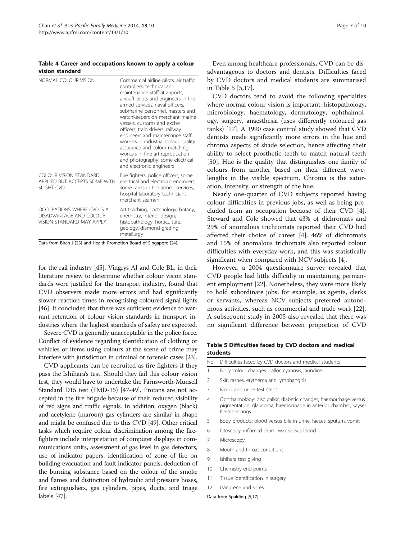#### <span id="page-6-0"></span>Table 4 Career and occupations known to apply a colour vision standard

| NORMAL COLOUR VISION                                                               | Commercial airline pilots, air traffic<br>controllers, technical and<br>maintenance staff at airports,<br>aircraft pilots and engineers in the<br>armed services, naval officers,<br>submarine personnel, masters and<br>watchkeepers on merchant marine<br>vessels, customs and excise<br>officers, train drivers, railway<br>engineers and maintenance staff;<br>workers in industrial colour quality<br>assurance and colour matching,<br>workers in fine art reproduction<br>and photography, some electrical<br>and electronic engineers |
|------------------------------------------------------------------------------------|-----------------------------------------------------------------------------------------------------------------------------------------------------------------------------------------------------------------------------------------------------------------------------------------------------------------------------------------------------------------------------------------------------------------------------------------------------------------------------------------------------------------------------------------------|
| COLOUR VISION STANDARD<br>APPLIED BUT ACCEPTS SOME WITH<br><b>SLIGHT CVD</b>       | Fire fighters, police officers, some<br>electrical and electronic engineers,<br>some ranks in the armed services,<br>hospital laboratory technicians,<br>merchant seamen                                                                                                                                                                                                                                                                                                                                                                      |
| OCCUPATIONS WHERE CVD IS A<br>DISADVANTAGE AND COLOUR<br>VISION STANDARD MAY APPLY | Art teaching, bacteriology, botany,<br>chemistry, interior design,<br>histopathology, horticulture,<br>geology, diamond grading,<br>metallurgy                                                                                                                                                                                                                                                                                                                                                                                                |

Data from Birch J [[23\]](#page-8-0) and Health Promotion Board of Singapore [[24\]](#page-8-0).

for the rail industry [\[45\]](#page-9-0). Vingrys AJ and Cole BL, in their literature review to determine whether colour vision standards were justified for the transport industry, found that CVD observers made more errors and had significantly slower reaction times in recognising coloured signal lights [[46](#page-9-0)]. It concluded that there was sufficient evidence to warrant retention of colour vision standards in transport industries where the highest standards of safety are expected.

Severe CVD is generally unacceptable in the police force. Conflict of evidence regarding identification of clothing or vehicles or items using colours at the scene of crime may interfere with jurisdiction in criminal or forensic cases [[23](#page-8-0)].

CVD applicants can be recruited as fire fighters if they pass the Ishihara's test. Should they fail this colour vision test, they would have to undertake the Farnsworth-Munsell Standard D15 test (FMD-15) [[47-49\]](#page-9-0). Protans are not accepted in the fire brigade because of their reduced visibility of red signs and traffic signals. In addition, oxygen (black) and acetylene (maroon) gas cylinders are similar in shape and might be confused due to this CVD [[49](#page-9-0)]. Other critical tasks which require colour discrimination among the firefighters include interpretation of computer displays in communications units, assessment of gas level in gas detectors, use of indicator papers, identification of zone of fire on building evacuation and fault indicator panels, deduction of the burning substance based on the colour of the smoke and flames and distinction of hydraulic and pressure hoses, fire extinguishers, gas cylinders, pipes, ducts, and triage labels [\[47](#page-9-0)].

Even among healthcare professionals, CVD can be disadvantageous to doctors and dentists. Difficulties faced by CVD doctors and medical students are summarised in Table 5 [[5,17\]](#page-8-0).

CVD doctors tend to avoid the following specialties where normal colour vision is important: histopathology, microbiology, haematology, dermatology, ophthalmology, surgery, anaesthesia (uses differently coloured gas tanks) [[17\]](#page-8-0). A 1990 case control study showed that CVD dentists made significantly more errors in the hue and chroma aspects of shade selection, hence affecting their ability to select prosthetic teeth to match natural teeth [[50\]](#page-9-0). Hue is the quality that distinguishes one family of colours from another based on their different wavelengths in the visible spectrum. Chroma is the saturation, intensity, or strength of the hue.

Nearly one-quarter of CVD subjects reported having colour difficulties in previous jobs, as well as being precluded from an occupation because of their CVD [\[4](#page-8-0)]. Steward and Cole showed that 43% of dichromats and 29% of anomalous trichromats reported their CVD had affected their choice of career [[4\]](#page-8-0). 46% of dichromats and 15% of anomalous trichomats also reported colour difficulties with everyday work, and this was statistically significant when compared with NCV subjects [[4\]](#page-8-0).

However, a 2004 questionnaire survey revealed that CVD people had little difficulty in maintaining permanent employment [[22](#page-8-0)]. Nonetheless, they were more likely to hold subordinate jobs, for example, as agents, clerks or servants, whereas NCV subjects preferred autonomous activities, such as commercial and trade work [\[22](#page-8-0)]. A subsequent study in 2005 also revealed that there was no significant difference between proportion of CVD

Table 5 Difficulties faced by CVD doctors and medical students

| No.            | Difficulties faced by CVD doctors and medical students                                                                                                 |
|----------------|--------------------------------------------------------------------------------------------------------------------------------------------------------|
| 1              | Body colour changes: pallor, cyanosis, jaundice                                                                                                        |
| $\mathfrak{D}$ | Skin rashes, erythema and lymphangitis                                                                                                                 |
| 3              | Blood and urine test strips                                                                                                                            |
| $\overline{4}$ | Ophthalmology: disc pallor, diabetic changes, haemorrhage versus<br>pigmentation, glaucoma, haemorrhage in anterior chamber, Kayser<br>Fleischer rings |
| 5              | Body products: blood versus bile in urine, faeces, sputum, vomit                                                                                       |
| 6              | Otoscopy: inflamed drum, wax versus blood                                                                                                              |
| 7              | Microscopy                                                                                                                                             |
| 8              | Mouth and throat conditions                                                                                                                            |
| 9              | Ishihara test giving                                                                                                                                   |
| 10             | Chemistry end-points                                                                                                                                   |
| 11             | Tissue identification in surgery                                                                                                                       |

12 Gangrene and sores

Data from Spalding [\[5,17](#page-8-0)].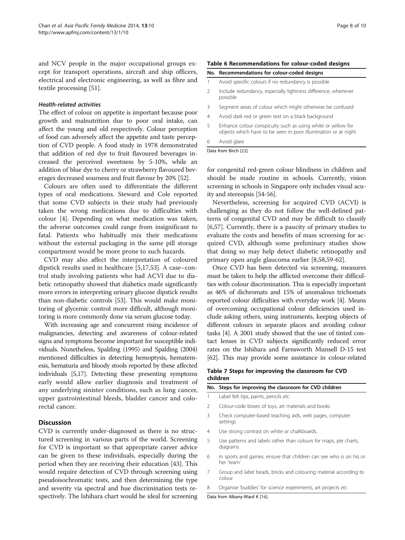<span id="page-7-0"></span>and NCV people in the major occupational groups except for transport operations, aircraft and ship officers, electrical and electronic engineering, as well as fibre and textile processing [[51\]](#page-9-0).

#### Health-related activities

The effect of colour on appetite is important because poor growth and malnutrition due to poor oral intake, can affect the young and old respectively. Colour perception of food can adversely affect the appetite and taste perception of CVD people. A food study in 1978 demonstrated that addition of red dye to fruit flavoured beverages increased the perceived sweetness by 5-10%, while an addition of blue dye to cherry or strawberry flavoured beverages decreased sourness and fruit flavour by 20% [[52\]](#page-9-0).

Colours are often used to differentiate the different types of oral medications. Steward and Cole reported that some CVD subjects in their study had previously taken the wrong medications due to difficulties with colour [[4\]](#page-8-0). Depending on what medication was taken, the adverse outcomes could range from insignificant to fatal. Patients who habitually mix their medications without the external packaging in the same pill storage compartment would be more prone to such hazards.

CVD may also affect the interpretation of coloured dipstick results used in healthcare [\[5,17](#page-8-0)[,53\]](#page-9-0). A case–control study involving patients who had ACVI due to diabetic retinopathy showed that diabetics made significantly more errors in interpreting urinary glucose dipstick results than non-diabetic controls [\[53\]](#page-9-0). This would make monitoring of glycemic control more difficult, although monitoring is more commonly done via serum glucose today.

With increasing age and concurrent rising incidence of malignancies, detecting and awareness of colour-related signs and symptoms become important for susceptible individuals. Nonetheless, Spalding (1995) and Spalding (2004) mentioned difficulties in detecting hemoptysis, hematemesis, hematuria and bloody stools reported by these affected individuals [\[5,17](#page-8-0)]. Detecting these presenting symptoms early would allow earlier diagnosis and treatment of any underlying sinister conditions, such as lung cancer, upper gastrointestinal bleeds, bladder cancer and colorectal cancer.

## **Discussion**

CVD is currently under-diagnosed as there is no structured screening in various parts of the world. Screening for CVD is important so that appropriate career advice can be given to these individuals, especially during the period when they are receiving their education [\[43](#page-9-0)]. This would require detection of CVD through screening using pseudoisochromatic tests, and then determining the type and severity via spectral and hue discrimination tests respectively. The Ishihara chart would be ideal for screening

## Table 6 Recommendations for colour-coded designs

| No. Recommendations for colour-coded designs |  |  |  |  |  |
|----------------------------------------------|--|--|--|--|--|
|----------------------------------------------|--|--|--|--|--|

|  |  |  |  |  | Avoid specific colours if no redundancy is possible |  |  |
|--|--|--|--|--|-----------------------------------------------------|--|--|
|--|--|--|--|--|-----------------------------------------------------|--|--|

- 2 Include redundancy, especially lightness difference, whenever possible
- 3 Segment areas of colour which might otherwise be confused
- 4 Avoid dark red or green text on a black background
- 5 Enhance colour conspicuity such as using white or yellow for objects which have to be seen in poor illumination or at night
- 6 Avoid glare

Data from Birch [\[23](#page-8-0)].

for congenital red-green colour blindness in children and should be made routine in schools. Currently, vision screening in schools in Singapore only includes visual acuity and stereopsis [\[54-56](#page-9-0)].

Nevertheless, screening for acquired CVD (ACVI) is challenging as they do not follow the well-defined patterns of congenital CVD and may be difficult to classify [[6,](#page-8-0)[57\]](#page-9-0). Currently, there is a paucity of primary studies to evaluate the costs and benefits of mass screening for acquired CVD, although some preliminary studies show that doing so may help detect diabetic retinopathy and primary open angle glaucoma earlier [\[8](#page-8-0)[,58,59-62](#page-9-0)].

Once CVD has been detected via screening, measures must be taken to help the afflicted overcome their difficulties with colour discrimination. This is especially important as 46% of dichromats and 15% of anomalous trichomats reported colour difficulties with everyday work [\[4\]](#page-8-0). Means of overcoming occupational colour deficiencies used include asking others, using instruments, keeping objects of different colours in separate places and avoiding colour tasks [\[4](#page-8-0)]. A 2001 study showed that the use of tinted contact lenses in CVD subjects significantly reduced error rates on the Ishihara and Farnsworth Munsell D-15 test [[62](#page-9-0)]. This may provide some assistance in colour-related

## Table 7 Steps for improving the classroom for CVD children

|               | No. Steps for improving the classroom for CVD children                           |
|---------------|----------------------------------------------------------------------------------|
|               | Label felt tips, paints, pencils etc.                                            |
| $\mathcal{P}$ | Colour-code boxes of toys, art materials and books                               |
| 3             | Check computer-based teaching aids, web pages, computer<br>settings              |
| 4             | Use strong contrast on white or chalkboards.                                     |
| 5             | Use patterns and labels rather than colours for maps, pie charts,<br>diagrams    |
| 6             | In sports and games, ensure that children can see who is on his or<br>her 'team' |
| 7             | Group and label beads, bricks and colouring material according to<br>colour      |
|               |                                                                                  |

8 Organise 'buddies' for science experiments, art projects etc.

Data from Albany-Ward K [\[16\]](#page-8-0).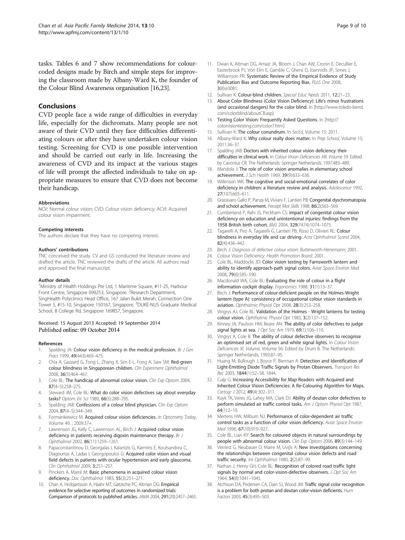<span id="page-8-0"></span>tasks. Tables [6](#page-7-0) and [7](#page-7-0) show recommendations for colourcoded designs made by Birch and simple steps for improving the classroom made by Albany-Ward K, the founder of the Colour Blind Awareness organisation [16,23].

## Conclusions

CVD people face a wide range of difficulties in everyday life, especially for the dichromats. Many people are not aware of their CVD until they face difficulties differentiating colours or after they have undertaken colour vision testing. Screening for CVD is one possible intervention and should be carried out early in life. Increasing the awareness of CVD and its impact at the various stages of life will prompt the affected individuals to take on appropriate measures to ensure that CVD does not become their handicap.

#### Abbreviations

NCV: Normal colour vision; CVD: Colour vision deficiency; ACVI: Acquired colour vision impairment.

#### Competing interests

The authors declare that they have no competing interest.

#### Authors' contributions

TNC conceived the study. CV and GS conducted the literature review and drafted the article. TNC reviewed the drafts of the article. All authors read and approved the final manuscript.

#### Author details

<sup>1</sup>Ministry of Health Holdings Pte Ltd, 1 Maritime Square, #11-25, Harbour Front Centre, Singapore 099253, Singapore. <sup>2</sup>Research Department, SingHealth Polyclinics Head Office, 167 Jalan Bukit Merah, Connection One Tower 5, #15-10, Singapore 150167, Singapore. <sup>3</sup>DUKE-NUS Graduate Medical School, 8 College Rd, Singapore 169857, Singapore.

#### Received: 15 August 2013 Accepted: 19 September 2014 Published online: 09 October 2014

#### References

- 1. Spalding JA: Colour vision deficiency in the medical profession. Br J Gen Pract 1999, 49(443):469–475.
- Chia A, Gazzard G, Tong L, Zhang X, Sim E-L, Fong A, Saw SM: Red-green colour blindness in Singaporean children. Clin Experiment Ophthalmol 2008, 36(5):464–467.
- 3. Cole BL: The handicap of abnormal colour vision. Clin Exp Optom 2004, 87(4–5):258–275.
- 4. Steward JM, Cole BL: What do color vision defectives say about everyday tasks? Optom Vis Sci 1989, 66(5):288–295.
- 5. Spalding JAB: Confessions of a colour blind physician. Clin Exp Optom 2004, 87(4–5):344–349.
- 6. Formankiewicz M: Acquired colour vision deficiencies. In Optometry Today, Volume 49. ; 2009:37+.
- 7. Lawrenson JG, Kelly C, Lawrenson AL, Birch J: Acquired colour vision deficiency in patients receiving digoxin maintenance therapy. Br J Ophthalmol 2002, 86(11):1259–1261.
- 8. Papaconstantinou D, Georgalas I, Kalantzis G, Karmiris E, Koutsandrea C, Diagourtas A, Ladas I, Georgopoulos G: Acquired color vision and visual field defects in patients with ocular hypertension and early glaucoma. Clin Ophthalmol 2009, 3:251–257.
- 9. Pinckers A, Marré M: Basic phenomena in acquired colour vision deficiency. Doc Ophthalmol 1983, 55(3):251–271.
- 10. Chan A, Hróbjartsson A, Haahr MT, Gøtzsche PC, Altman DG: Empirical evidence for selective reporting of outcomes in randomized trials: Comparison of protocols to published articles. JAMA 2004, 291(20):2457–2465.
- 11. Dwan K, Altman DG, Arnaiz JA, Bloom J, Chan AW, Cronin E, Decullier E, Easterbrook PJ, Von Elm E, Gamble C, Ghersi D, Ioannidis JP, Simes J, Williamson PR: Systematic Review of the Empirical Evidence of Study Publication Bias and Outcome Reporting Bias. PLoS One 2008, 3(8):e3081.
- 12. Sullivan K: Colour-blind children. Special Educ Needs 2011, 12:21-23.
- 13. About Color Blindness (Color Vision Deficiency): Life's minor frustrations (and occasional dangers) for the color blind. In [[http://www.toledo-bend.](http://www.toledo-bend.com/colorblind/aboutCB.asp) [com/colorblind/aboutCB.asp](http://www.toledo-bend.com/colorblind/aboutCB.asp)]
- 14. Testing Color Vision: Frequently Asked Questions. In [\[http://](http://colorvisiontesting.com/color7.htm) [colorvisiontesting.com/color7.htm\]](http://colorvisiontesting.com/color7.htm)
- 15. Sullivan K: The colour conundrum. In SecEd, Volume 15: 2011.
- 16. Albany-Ward K: Why colour really does matter. In Prep School, Volume 15; 2011:36–37.
- 17. Spalding JAB: Doctors with inherited colour vision deficiency: their difficulties in clinical work. In Colour Vision Deficiencies XIII. Volume 59. Edited by Cavonius CR. The Netherlands: Springer Netherlands; 1997:483–489.
- 18. Mandola J: The role of color vision anomalies in elementary school achievement. J Sch Health 1969, 39(9):633–636.
- 19. Wilkinson WK: The cognitive and social-emotional correlates of color deficiency in children: a literature review and analysis. Adolescence 1992, 27(107):603–611.
- 20. Grassivaro Gallo P, Panza M, Viviani F, Lantieri PB: Congenital dyschromatopsia and school achievement. Percept Mot Skills 1998, 86(2):563–569.
- 21. Cumberland P, Rahi JS, Peckham CS: Impact of congenital colour vision deficiency on education and unintentional injuries: findings from the 1958 British birth cohort. BMJ 2004, 329(7474):1074–1075.
- 22. Tagarelli A, Piro A, Tagarelli G, Lantieri PB, Risso D, Olivieri RL: Colour blindness in everyday life and car driving. Acta Ophthalmol Scand 2004, 82(4):436–442.
- 23. Birch J: Diagnosis of defective colour vision: Butterworth-Heinemann; 2001.
- 24. Colour Vision Deficiency: Health Promotion Board; 2001.
- 25. Cole BL, Maddocks JD: Color vision testing by Farnsworth lantern and ability to identify approach-path signal colors. Aviat Space Environ Med 2008, 79(6):585–590.
- 26. Macdonald WA, Cole BL: Evaluating the role of colour in a flight information cockpit display. Ergonomics 1988, 31(1):13–37.
- 27. Birch J: Performance of colour-deficient people on the Holmes-Wright lantern (type A): consistency of occupational colour vision standards in aviation. Ophthalmic Physiol Opt 2008, 28(3):253–258.
- 28. Vingrys AJ, Cole BL: Validation of the Holmes Wright lanterns for testing colour vision. Ophthalmic Physiol Opt 1983, 3(2):137–152.
- 29. Kinney JA, Paulson HM, Beare AN: The ability of color defectives to judge signal lights at sea. J Opt Soc Am 1979, 69(1):106-110.
- 30. Vingrys A, Cole B: The ability of colour defective observers to recognise an optimised set of red, green and white signal lights. In Colour Vision Deficiencies XI. Volume, Volume 56. Edited by Drum B. The Netherlands: Springer Netherlands; 1993:87–95.
- 31. Huang M, Bullough J, Boyce P, Bierman A: Detection and Identification of Light-Emitting Diode Traffic Signals by Protan Observers. Transport Res Rec 2003, 1844(1):52–58. 1844.
- 32. Culp G: Increasing Accessibility for Map Readers with Acquired and Inherited Colour Vision Deficiencies: A Re-Colouring Algorithm for Maps. Cartogr J 2012, 49(4):302-311
- 33. Kuyk TK, Veres JG, Lahey MA, Clark DJ: Ability of deutan color defectives to perform simulated air traffic control tasks. Am J Optom Physiol Opt 1987, 64(1):2–10.
- 34. Mertens HW, Milburn NJ: Performance of color-dependent air traffic control tasks as a function of color vision deficiency. Aviat Space Environ Med 1996, 67(10):919-927.
- 35. Cole BL, Lian KY: Search for coloured objects in natural surroundings by people with abnormal colour vision. Clin Exp Optom 2006, 89(3):144–149.
- 36. Verriest G, Neubauer O, Marre M, Uvijls A: New investigations concerning the relationships between congenital colour vision defects and road traffic security. Int Ophthalmol 1980, 2(2):87–99.
- 37. Nathan J, Henry GH, Cole BL: Recognition of colored road traffic light signals by normal and color-vision-defective observers. J Opt Soc Am 1964, 54(8):1041–1045.
- 38. Atchison DA, Pedersen CA, Dain SJ, Wood JM: Traffic signal color recognition is a problem for both protan and deutan color-vision deficients. Hum Factors 2003, 45(3):495–503.